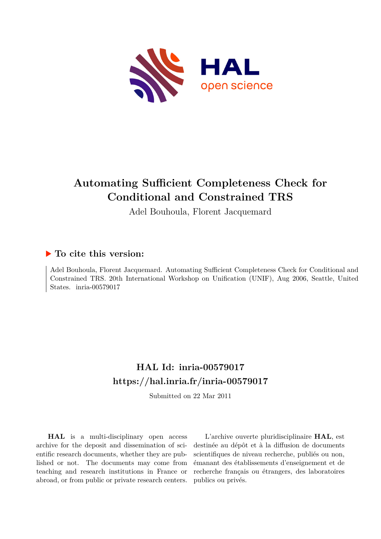

# **Automating Sufficient Completeness Check for Conditional and Constrained TRS**

Adel Bouhoula, Florent Jacquemard

## **To cite this version:**

Adel Bouhoula, Florent Jacquemard. Automating Sufficient Completeness Check for Conditional and Constrained TRS. 20th International Workshop on Unification (UNIF), Aug 2006, Seattle, United States. inria-00579017

# **HAL Id: inria-00579017 <https://hal.inria.fr/inria-00579017>**

Submitted on 22 Mar 2011

**HAL** is a multi-disciplinary open access archive for the deposit and dissemination of scientific research documents, whether they are published or not. The documents may come from teaching and research institutions in France or abroad, or from public or private research centers.

L'archive ouverte pluridisciplinaire **HAL**, est destinée au dépôt et à la diffusion de documents scientifiques de niveau recherche, publiés ou non, émanant des établissements d'enseignement et de recherche français ou étrangers, des laboratoires publics ou privés.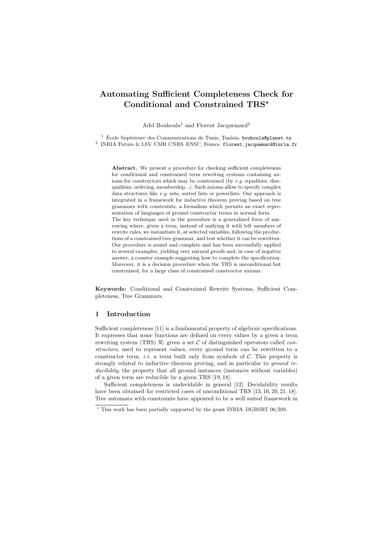## Automating Sufficient Completeness Check for Conditional and Constrained  $TRS^{\star}$

Adel Bouhoula<sup>1</sup> and Florent Jacquemard<sup>2</sup>

 $^1$ École Supérieure des Communications de Tunis, Tunisia. bouhoula@planet.tn <sup>2</sup> INRIA Futurs & LSV UMR CNRS–ENSC, France. florent.jacquemard@inria.fr

Abstract. We present a procedure for checking sufficient completeness for conditional and constrained term rewriting systems containing axioms for constructors which may be constrained (by *e.g.* equalities, disequalities, ordering, membership...). Such axioms allow to specify complex data structures like *e.g.* sets, sorted lists or powerlists. Our approach is integrated in a framework for inductive theorem proving based on tree grammars with constraints, a formalism which permits an exact representation of languages of ground constructor terms in normal form. The key technique used in the procedure is a generalized form of narrowing where, given a term, instead of unifying it with left members of rewrite rules, we instantiate it, at selected variables, following the productions of a constrained tree grammar, and test whether it can be rewritten. Our procedure is sound and complete and has been successfully applied to several examples, yielding very natural proofs and, in case of negative answer, a counter example suggesting how to complete the specification. Moreover, it is a decision procedure when the TRS is unconditional but constrained, for a large class of constrained constructor axioms.

Keywords: Conditional and Constrained Rewrite Systems, Sufficient Completeness, Tree Grammars.

## 1 Introduction

Sufficient completeness [11] is a fundamental property of algebraic specifications. It expresses that some functions are defined on every values by a given a term rewriting system (TRS)  $\mathcal{R}$ : given a set  $\mathcal C$  of distinguished operators called *con*structors, used to represent values, every ground term can be rewritten to a constructor term, *i.e.* a term built only from symbols of  $C$ . This property is strongly related to inductive theorem proving, and in particular to ground reducibility, the property that all ground instances (instances without variables) of a given term are reducible by a given TRS [19, 18].

Sufficient completeness is undecidable in general [12]. Decidability results have been obtained for restricted cases of unconditional TRS [13, 16, 20, 21, 18]. Tree automata with constraints have appeared to be a well suited framework in

 $^{\star}$  This work has been partially supported by the grant INRIA–DGRSRT 06/I09.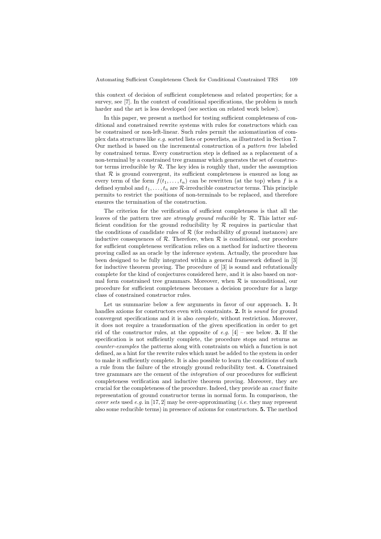this context of decision of sufficient completeness and related properties; for a survey, see [7]. In the context of conditional specifications, the problem is much harder and the art is less developed (see section on related work below).

In this paper, we present a method for testing sufficient completeness of conditional and constrained rewrite systems with rules for constructors which can be constrained or non-left-linear. Such rules permit the axiomatization of complex data structures like e.g. sorted lists or powerlists, as illustrated in Section 7. Our method is based on the incremental construction of a pattern tree labeled by constrained terms. Every construction step is defined as a replacement of a non-terminal by a constrained tree grammar which generates the set of constructor terms irreducible by  $R$ . The key idea is roughly that, under the assumption that  $R$  is ground convergent, its sufficient completeness is ensured as long as every term of the form  $f(t_1, \ldots, t_n)$  can be rewritten (at the top) when f is a defined symbol and  $t_1, \ldots, t_n$  are  $\mathcal{R}\text{-irreducible constructor terms. This principle}$ permits to restrict the positions of non-terminals to be replaced, and therefore ensures the termination of the construction.

The criterion for the verification of sufficient completeness is that all the leaves of the pattern tree are *strongly ground reducible* by  $R$ . This latter sufficient condition for the ground reducibility by  $R$  requires in particular that the conditions of candidate rules of  $R$  (for reducibility of ground instances) are inductive consequences of  $\mathcal{R}$ . Therefore, when  $\mathcal{R}$  is conditional, our procedure for sufficient completeness verification relies on a method for inductive theorem proving called as an oracle by the inference system. Actually, the procedure has been designed to be fully integrated within a general framework defined in [3] for inductive theorem proving. The procedure of [3] is sound and refutationally complete for the kind of conjectures considered here, and it is also based on normal form constrained tree grammars. Moreover, when  $R$  is unconditional, our procedure for sufficient completeness becomes a decision procedure for a large class of constrained constructor rules.

Let us summarize below a few arguments in favor of our approach. 1. It handles axioms for constructors even with constraints. 2. It is *sound* for ground convergent specifications and it is also complete, without restriction. Moreover, it does not require a transformation of the given specification in order to get rid of the constructor rules, at the opposite of e.g.  $[4]$  – see below. **3.** If the specification is not sufficiently complete, the procedure stops and returns as counter-examples the patterns along with constraints on which a function is not defined, as a hint for the rewrite rules which must be added to the system in order to make it sufficiently complete. It is also possible to learn the conditions of such a rule from the failure of the strongly ground reducibility test. 4. Constrained tree grammars are the cement of the integration of our procedures for sufficient completeness verification and inductive theorem proving. Moreover, they are crucial for the completeness of the procedure. Indeed, they provide an exact finite representation of ground constructor terms in normal form. In comparison, the *cover sets* used e.g. in [17, 2] may be over-approximating (*i.e.* they may represent also some reducible terms) in presence of axioms for constructors. 5. The method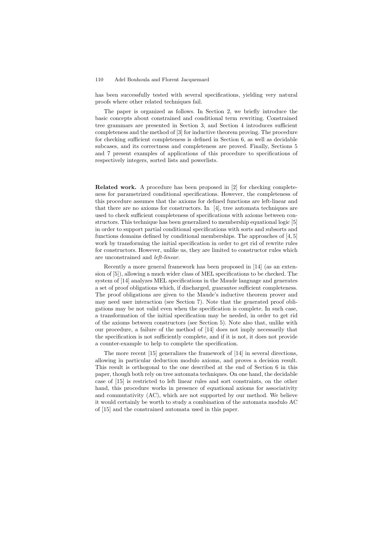has been successfully tested with several specifications, yielding very natural proofs where other related techniques fail.

The paper is organized as follows. In Section 2, we briefly introduce the basic concepts about constrained and conditional term rewriting. Constrained tree grammars are presented in Section 3, and Section 4 introduces sufficient completeness and the method of [3] for inductive theorem proving. The procedure for checking sufficient completeness is defined in Section 6, as well as decidable subcases, and its correctness and completeness are proved. Finally, Sections 5 and 7 present examples of applications of this procedure to specifications of respectively integers, sorted lists and powerlists.

Related work. A procedure has been proposed in [2] for checking completeness for parametrized conditional specifications. However, the completeness of this procedure assumes that the axioms for defined functions are left-linear and that there are no axioms for constructors. In [4], tree automata techniques are used to check sufficient completeness of specifications with axioms between constructors. This technique has been generalized to membership equational logic [5] in order to support partial conditional specifications with sorts and subsorts and functions domains defined by conditional memberships. The approaches of [4, 5] work by transforming the initial specification in order to get rid of rewrite rules for constructors. However, unlike us, they are limited to constructor rules which are unconstrained and left-linear.

Recently a more general framework has been proposed in [14] (as an extension of [5]), allowing a much wider class of MEL specifications to be checked. The system of [14] analyzes MEL specifications in the Maude language and generates a set of proof obligations which, if discharged, guarantee sufficient completeness. The proof obligations are given to the Maude's inductive theorem prover and may need user interaction (see Section 7). Note that the generated proof obligations may be not valid even when the specification is complete. In such case, a transformation of the initial specification may be needed, in order to get rid of the axioms between constructors (see Section 5). Note also that, unlike with our procedure, a failure of the method of [14] does not imply necessarily that the specification is not sufficiently complete, and if it is not, it does not provide a counter-example to help to complete the specification.

The more recent [15] generalizes the framework of [14] in several directions, allowing in particular deduction modulo axioms, and proves a decision result. This result is orthogonal to the one described at the end of Section 6 in this paper, though both rely on tree automata techniques. On one hand, the decidable case of [15] is restricted to left linear rules and sort constraints, on the other hand, this procedure works in presence of equational axioms for associativity and commutativity (AC), which are not supported by our method. We believe it would certainly be worth to study a combination of the automata modulo AC of [15] and the constrained automata used in this paper.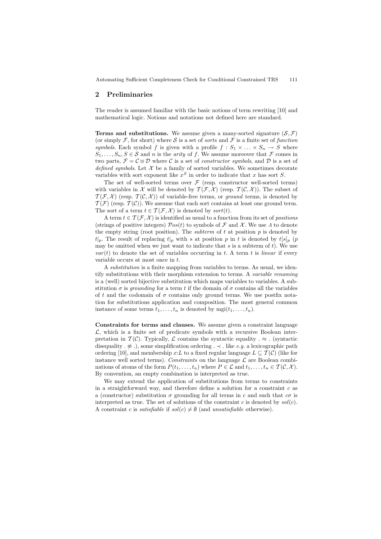## 2 Preliminaries

The reader is assumed familiar with the basic notions of term rewriting [10] and mathematical logic. Notions and notations not defined here are standard.

**Terms and substitutions.** We assume given a many-sorted signature  $(S, \mathcal{F})$ (or simply F, for short) where S is a set of sorts and F is a finite set of function symbols. Each symbol f is given with a profile  $f : S_1 \times \ldots \times S_n \to S$  where  $S_1, \ldots, S_n, S \in \mathcal{S}$  and *n* is the *arity* of *f*. We assume moreover that  $\mathcal{F}$  comes in two parts,  $\mathcal{F} = \mathcal{C} \oplus \mathcal{D}$  where C is a set of *constructor symbols*, and D is a set of defined symbols. Let  $\mathcal X$  be a family of sorted variables. We sometimes decorate variables with sort exponent like  $x^S$  in order to indicate that x has sort S.

The set of well-sorted terms over  $\mathcal F$  (resp. constructor well-sorted terms) with variables in X will be denoted by  $\mathcal{T}(\mathcal{F},\mathcal{X})$  (resp.  $\mathcal{T}(\mathcal{C},\mathcal{X})$ ). The subset of  $\mathcal{T}(\mathcal{F}, \mathcal{X})$  (resp.  $\mathcal{T}(\mathcal{C}, \mathcal{X})$ ) of variable-free terms, or ground terms, is denoted by  $\mathcal{T}(\mathcal{F})$  (resp.  $\mathcal{T}(\mathcal{C})$ ). We assume that each sort contains at least one ground term. The sort of a term  $t \in \mathcal{T}(\mathcal{F}, \mathcal{X})$  is denoted by sort $(t)$ .

A term  $t \in \mathcal{T}(\mathcal{F}, \mathcal{X})$  is identified as usual to a function from its set of *positions* (strings of positive integers)  $\mathcal{P}os(t)$  to symbols of  $\mathcal F$  and  $\mathcal X$ . We use  $\Lambda$  to denote the empty string (root position). The *subterm* of  $t$  at position  $p$  is denoted by  $t|_p$ . The result of replacing  $t|_p$  with s at position p in t is denoted by  $t[s]_p$  (p may be omitted when we just want to indicate that  $s$  is a subterm of  $t$ ). We use  $var(t)$  to denote the set of variables occurring in t. A term t is linear if every variable occurs at most once in t.

A substitution is a finite mapping from variables to terms. As usual, we identify substitutions with their morphism extension to terms. A variable renaming is a (well) sorted bijective substitution which maps variables to variables. A substitution  $\sigma$  is *grounding* for a term t if the domain of  $\sigma$  contains all the variables of t and the codomain of  $\sigma$  contains only ground terms. We use postfix notation for substitutions application and composition. The most general common instance of some terms  $t_1, \ldots, t_n$  is denoted by  $m\text{gi}(t_1, \ldots, t_n)$ .

Constraints for terms and clauses. We assume given a constraint language  $\mathcal{L}$ , which is a finite set of predicate symbols with a recursive Boolean interpretation in  $\mathcal{T}(\mathcal{C})$ . Typically,  $\mathcal{L}$  contains the syntactic equality .  $\approx$  . (syntactic disequality  $\ldots \not\approx \ldots$ ), some simplification ordering  $\ldots \prec \ldots$  like e.g. a lexicographic path ordering [10], and membership x:L to a fixed regular language  $L \subseteq \mathcal{T}(\mathcal{C})$  (like for instance well sorted terms). Constraints on the language  $\mathcal L$  are Boolean combinations of atoms of the form  $P(t_1, \ldots, t_n)$  where  $P \in \mathcal{L}$  and  $t_1, \ldots, t_n \in \mathcal{T}(\mathcal{C}, \mathcal{X})$ . By convention, an empty combination is interpreted as true.

We may extend the application of substitutions from terms to constraints in a straightforward way, and therefore define a solution for a constraint  $c$  as a (constructor) substitution  $\sigma$  grounding for all terms in c and such that  $c\sigma$  is interpreted as true. The set of solutions of the constraint c is denoted by  $sol(c)$ . A constraint c is satisfiable if  $sol(c) \neq \emptyset$  (and unsatisfiable otherwise).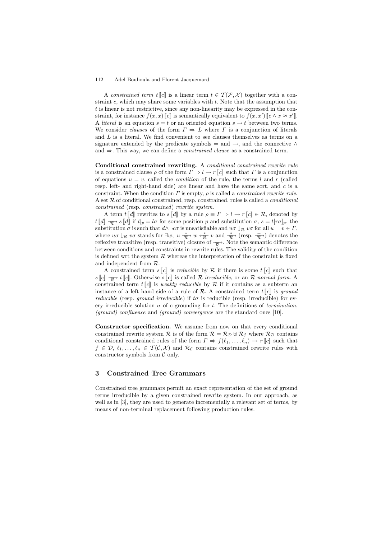A constrained term  $t \llbracket c \rrbracket$  is a linear term  $t \in \mathcal{T}(\mathcal{F}, \mathcal{X})$  together with a constraint  $c$ , which may share some variables with  $t$ . Note that the assumption that t is linear is not restrictive, since any non-linearity may be expressed in the constraint, for instance  $f(x, x)$  [c] is semantically equivalent to  $f(x, x')$  [c  $\wedge x \approx x'$ ]. A *literal* is an equation  $s = t$  or an oriented equation  $s \to t$  between two terms. We consider *clauses* of the form  $\Gamma \Rightarrow L$  where  $\Gamma$  is a conjunction of literals and  $L$  is a literal. We find convenient to see clauses themselves as terms on a signature extended by the predicate symbols = and  $\rightarrow$ , and the connective  $\land$ and ⇒. This way, we can define a constrained clause as a constrained term.

Conditional constrained rewriting. A conditional constrained rewrite rule is a constrained clause  $\rho$  of the form  $\Gamma \Rightarrow l \to r \llbracket c \rrbracket$  such that  $\Gamma$  is a conjunction of equations  $u = v$ , called the *condition* of the rule, the terms l and r (called resp. left- and right-hand side) are linear and have the same sort, and  $c$  is a constraint. When the condition  $\Gamma$  is empty,  $\rho$  is called a *constrained rewrite rule*. A set  $R$  of conditional constrained, resp. constrained, rules is called a *conditional* constrained (resp. constrained) rewrite system.

A term  $t \llbracket d \rrbracket$  rewrites to  $s \llbracket d \rrbracket$  by a rule  $\rho \equiv \Gamma \Rightarrow l \to r \llbracket c \rrbracket \in \mathcal{R}$ , denoted by  $t \llbracket d \rrbracket \xrightarrow{\mathcal{R}} s \llbracket d \rrbracket$  if  $t|_p = l\sigma$  for some position p and substitution  $\sigma, s = t[r\sigma]_p$ , the substitution  $\sigma$  is such that  $d \wedge \neg c\sigma$  is unsatisfiable and  $u\sigma \downarrow_{\mathcal{R}} v\sigma$  for all  $u = v \in \Gamma$ , where  $u\sigma \downarrow_{\mathcal{R}} v\sigma$  stands for  $\exists w, u \xrightarrow[\mathcal{R}]{} v \leftrightarrow \mathcal{R}$  v and  $\xrightarrow[\mathcal{R}]{} v$  (resp.  $\xrightarrow[\mathcal{R}]{}$  $\frac{+}{\mathcal{R}}$ ) denotes the reflexive transitive (resp. transitive) closure of  $\frac{\pi}{R}$ . Note the semantic difference between conditions and constraints in rewrite rules. The validity of the condition is defined wrt the system  $R$  whereas the interpretation of the constraint is fixed and independent from R.

A constrained term  $s[[c]]$  is *reducible* by  $R$  if there is some  $t[[c]]$  such that  $s[[c]] \xrightarrow{\pi} t[[c]]$ . Otherwise  $s[[c]]$  is called R-irreducible, or an R-normal form. A  $\mathcal{R}$  is weakly reducible by  $\mathcal{R}$  if it contains as a subterm and interest of the land side of  $\mathcal{R}$  and  $\mathcal{R}$  are propositional term  $\mathcal{R}$ . instance of a left hand side of a rule of  $\mathcal{R}$ . A constrained term  $t[[c]]$  is ground *reducible* (resp. *ground irreducible*) if  $t\sigma$  is reducible (resp. irreducible) for every irreducible solution  $\sigma$  of c grounding for t. The definitions of termination, (ground) confluence and (ground) convergence are the standard ones [10].

Constructor specification. We assume from now on that every conditional constrained rewrite system R is of the form  $\mathcal{R} = \mathcal{R}_{\mathcal{D}} \oplus \mathcal{R}_{\mathcal{C}}$  where  $\mathcal{R}_{\mathcal{D}}$  contains conditional constrained rules of the form  $\Gamma \Rightarrow f(\ell_1, \ldots, \ell_n) \to r[[c]]$  such that  $f \in \mathcal{D}, \ell_1, \ldots, \ell_n \in \mathcal{T}(\mathcal{C}, \mathcal{X})$  and  $\mathcal{R}_{\mathcal{C}}$  contains constrained rewrite rules with constructor symbols from  $\mathcal C$  only.

## 3 Constrained Tree Grammars

Constrained tree grammars permit an exact representation of the set of ground terms irreducible by a given constrained rewrite system. In our approach, as well as in [3], they are used to generate incrementally a relevant set of terms, by means of non-terminal replacement following production rules.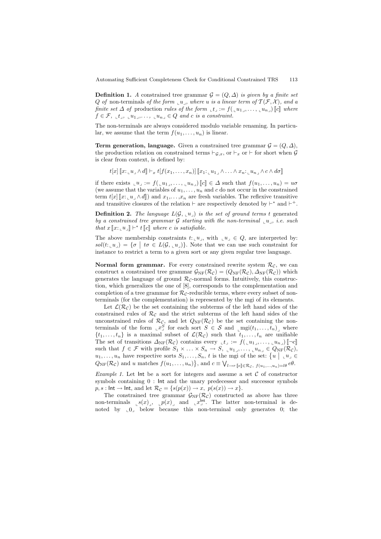**Definition 1.** A constrained tree grammar  $\mathcal{G} = (Q, \Delta)$  is given by a finite set Q of non-terminals of the form  $\mathcal{U}_1$ , where u is a linear term of  $\mathcal{T}(\mathcal{F}, \mathcal{X})$ , and a finite set  $\Delta$  of production rules of the form  $\mathbf{t}_1 := f(\mathbf{u}_1, \dots, \mathbf{u}_{n})$  [c] where  $f \in \mathcal{F}$ ,  $\iota_t, \iota_{u_1}, \ldots, \iota_{u_n} \in Q$  and c is a constraint.

The non-terminals are always considered modulo variable renaming. In particular, we assume that the term  $f(u_1, \ldots, u_n)$  is linear.

**Term generation, language.** Given a constrained tree grammar  $\mathcal{G} = (Q, \Delta)$ , the production relation on constrained terms  $\vdash_{\mathcal{G},x}$ , or  $\vdash_x$  or  $\vdash$  for short when G is clear from context, is defined by:

$$
t[x] \llbracket x: \llbracket u \rrbracket \wedge d \rrbracket \vdash_x t [f(x_1, \ldots, x_n)] \llbracket x_1: \llbracket u_1 \rrbracket \wedge \ldots \wedge x_n: \llbracket u_n \rrbracket \wedge c \wedge d\sigma \rrbracket
$$

if there exists  $\iota u_{\perp} := f(\iota u_1, \ldots, \iota u_n)$   $\llbracket c \rrbracket \in \Delta$  such that  $f(u_1, \ldots, u_n) = u\sigma$ (we assume that the variables of  $u_1, \ldots, u_n$  and c do not occur in the constrained term  $t[x]$   $\llbracket x: u \wedge d \rrbracket$  and  $x_1, \ldots, x_n$  are fresh variables. The reflexive transitive and transitive closures of the relation  $\vdash$  are respectively denoted by  $\vdash^*$  and  $\vdash^+$ .

**Definition 2.** The language  $L(G, u)$  is the set of ground terms t generated by a constrained tree grammar  $\mathcal G$  starting with the non-terminal  $\mathcal U$ , i.e. such that  $x \llbracket x: \llbracket u \rrbracket \vdash^* t \llbracket c \rrbracket$  where c is satisfiable.

The above membership constraints  $t: \llcorner u \rrbracket$ , with  $\llcorner u \rrbracket \in Q$ , are interpreted by:  $sol(t: \llcorner u\lrcorner) = \{\sigma \mid t\sigma \in L(\mathcal{G}, \llcorner u\lrcorner)\}.$  Note that we can use such constraint for instance to restrict a term to a given sort or any given regular tree language.

Normal form grammar. For every constrained rewrite system  $\mathcal{R}_{\mathcal{C}}$ , we can construct a constrained tree grammar  $\mathcal{G}_{\text{NF}}(\mathcal{R}_{\mathcal{C}}) = (Q_{\text{NF}}(\mathcal{R}_{\mathcal{C}}), \Delta_{\text{NF}}(\mathcal{R}_{\mathcal{C}}))$  which generates the language of ground  $\mathcal{R}_{\mathcal{C}}$ -normal forms. Intuitively, this construction, which generalizes the one of [8], corresponds to the complementation and completion of a tree grammar for  $\mathcal{R}_{\mathcal{C}}$ -reducible terms, where every subset of nonterminals (for the complementation) is represented by the mgi of its elements.

Let  $\mathcal{L}(\mathcal{R}_{\mathcal{C}})$  be the set containing the subterms of the left hand sides of the constrained rules of  $\mathcal{R}_{\mathcal{C}}$  and the strict subterms of the left hand sides of the unconstrained rules of  $\mathcal{R}_{\mathcal{C}}$ , and let  $Q_{\text{NF}}(\mathcal{R}_{\mathcal{C}})$  be the set containing the nonterminals of the form  $\llcorner x_j^S$  for each sort  $S \in \mathcal{S}$  and  $\llcorner \text{mgi}(t_1, \ldots, t_n)$  where  $\{t_1, \ldots, t_n\}$  is a maximal subset of  $\mathcal{L}(\mathcal{R}_{\mathcal{C}})$  such that  $t_1, \ldots, t_n$  are unifiable The set of transitions  $\Delta_{\text{NF}}(\mathcal{R}_{\mathcal{C}})$  contains every  $\mathcal{L}_{t} := f(\mathcal{L}_{u_1}, \ldots, \mathcal{L}_{u_n})$   $[\neg c]$ such that  $f \in \mathcal{F}$  with profile  $S_1 \times \ldots \times S_n \to S$ ,  $\iota u_1, \ldots, \iota u_n \in Q_{\text{NF}}(\mathcal{R}_{\mathcal{C}})$ ,  $u_1, \ldots, u_n$  have respective sorts  $S_1, \ldots, S_n$ , t is the mgi of the set:  $\{u \mid u \in$  $Q_{\text{NF}}(\mathcal{R}_{\mathcal{C}})$  and u matches  $f(u_1,\ldots,u_n)$ , and  $c \equiv \bigvee_{l \to r} [\![e]\!] \in \mathcal{R}_{\mathcal{C}}$ ,  $f(u_1,...,u_n) = l\theta \, e\theta$ .

Example 1. Let lnt be a sort for integers and assume a set  $C$  of constructor symbols containing 0 : Int and the unary predecessor and successor symbols  $p, s : \mathsf{Int} \to \mathsf{Int}$ , and let  $\mathcal{R}_{\mathcal{C}} = \{ s(p(x)) \to x, \ p(s(x)) \to x \}.$ 

The constrained tree grammar  $\mathcal{G}_{\rm NF}(\mathcal{R}_{\mathcal{C}})$  constructed as above has three non-terminals  ${}_{\llcorner} s(x)$ ,  ${}_{\llcorner} p(x)$  and  ${}_{\llcorner} x^{\text{Int}}$ . The latter non-terminal is denoted by  $[0, 0]$  below because this non-terminal only generates 0; the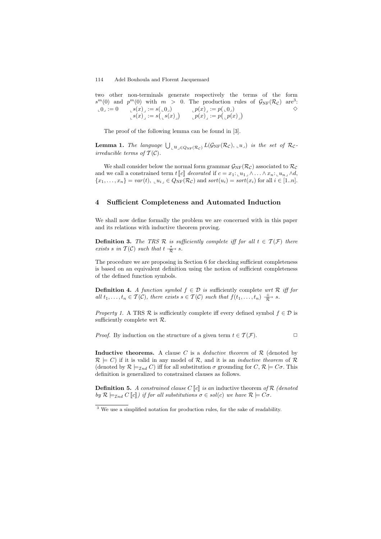two other non-terminals generate respectively the terms of the form  $s^m(0)$  and  $p^m(0)$  with  $m > 0$ . The production rules of  $\mathcal{G}_{\rm NF}(\mathcal{R}_{\mathcal{C}})$  are<sup>3</sup>:<br>  $0 \in [0, 1, 0]$   $s(x) := s(\cup_0)$   $p(x) := p(\cup_0)$   $\Diamond$  $\mathbf{L}_0 \cdot \mathbf{0} = 0$   $\mathbf{L}_s(x) = s(\mathbf{L}_0)$  $\begin{array}{ll} \mathcal{L}^{\mathcal{S}}(x) \lrcorner := \mathcal{S}(\lrcorner 0 \lrcorner) & \lrcorner p(x) \lrcorner := p(\lrcorner 0 \lrcorner) \ \mathcal{L}^{\mathcal{S}}(x) \lrcorner := \mathcal{S}(\lrcorner \mathcal{S}(x) \lrcorner) & \lrcorner p(x) \lrcorner := p(\lrcorner p(x) \lrcorner) \end{array}$  $\Diamond$ 

The proof of the following lemma can be found in [3].

**Lemma 1.** The language  $\bigcup_{\mu} u_{\mu} \in Q_{\text{NF}}(\mathcal{R}_c)$ ,  $L(\mathcal{G}_{\text{NF}}(\mathcal{R}_c), \mu_{\mu})$  is the set of  $\mathcal{R}_c$ . irreducible terms of  $T(\mathcal{C})$ .

We shall consider below the normal form grammar  $\mathcal{G}_{NF}(\mathcal{R}_{\mathcal{C}})$  associated to  $\mathcal{R}_{\mathcal{C}}$ and we call a constrained term  $t$   $\llbracket c \rrbracket$  decorated if  $c = x_1: \llbracket u_1 \rrbracket \wedge \ldots \wedge x_n: \llbracket u_n \rrbracket \wedge d$ ,  ${x_1, \ldots, x_n} = var(t), \, u_{i} \in Q_{\rm NF}(\mathcal{R}_{\mathcal{C}})$  and  $sort(u_i) = sort(x_i)$  for all  $i \in [1..n]$ .

## 4 Sufficient Completeness and Automated Induction

We shall now define formally the problem we are concerned with in this paper and its relations with inductive theorem proving.

**Definition 3.** The TRS R is sufficiently complete iff for all  $t \in \mathcal{T}(\mathcal{F})$  there exists s in  $T(\mathcal{C})$  such that  $t \frac{*}{\mathcal{R}}$  s.

The procedure we are proposing in Section 6 for checking sufficient completeness is based on an equivalent definition using the notion of sufficient completeness of the defined function symbols.

**Definition 4.** A function symbol  $f \in \mathcal{D}$  is sufficiently complete wrt  $\mathcal{R}$  iff for all  $t_1, \ldots, t_n \in \mathcal{T}(\mathcal{C})$ , there exists  $s \in \mathcal{T}(\mathcal{C})$  such that  $f(t_1, \ldots, t_n) \frac{+}{\mathcal{R}}$  $\frac{+}{\mathcal{R}}$  s.

*Property 1.* A TRS R is sufficiently complete iff every defined symbol  $f \in \mathcal{D}$  is sufficiently complete wrt R.

*Proof.* By induction on the structure of a given term  $t \in \mathcal{T}(\mathcal{F})$ .

Inductive theorems. A clause C is a *deductive theorem* of  $\mathcal{R}$  (denoted by  $\mathcal{R} \models C$ ) if it is valid in any model of  $\mathcal{R}$ , and it is an *inductive theorem* of  $\mathcal{R}$ (denoted by  $\mathcal{R} \models_{\mathcal{I}nd} C$ ) iff for all substitution  $\sigma$  grounding for  $C, \mathcal{R} \models C\sigma$ . This definition is generalized to constrained clauses as follows.

**Definition 5.** A constrained clause C  $\llbracket c \rrbracket$  is an inductive theorem of R (denoted by  $\mathcal{R} \models_{\mathcal{I}nd} C[\![c]\!]$ ) if for all substitutions  $\sigma \in sol(c)$  we have  $\mathcal{R} \models C\sigma$ .

 $\frac{3}{3}$  We use a simplified notation for production rules, for the sake of readability.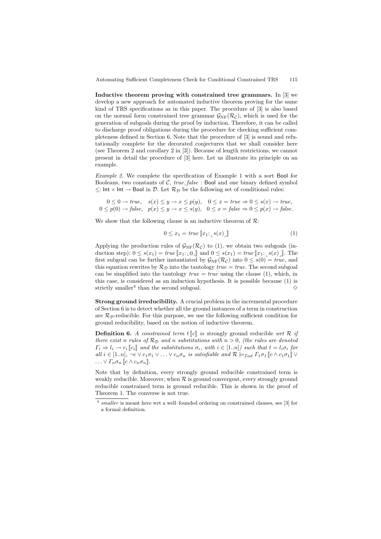Automating Sufficient Completeness Check for Conditional Constrained TRS 115

Inductive theorem proving with constrained tree grammars. In [3] we develop a new approach for automated inductive theorem proving for the same kind of TRS specifications as in this paper. The procedure of [3] is also based on the normal form constrained tree grammar  $\mathcal{G}_{\text{NF}}(\mathcal{R}_{\mathcal{C}})$ , which is used for the generation of subgoals during the proof by induction. Therefore, it can be called to discharge proof obligations during the procedure for checking sufficient completeness defined in Section 6. Note that the procedure of [3] is sound and refutationally complete for the decorated conjectures that we shall consider here (see Theorem 2 and corollary 2 in [3]). Because of length restrictions, we cannot present in detail the procedure of [3] here. Let us illustrate its principle on an example.

Example 2. We complete the specification of Example 1 with a sort Bool for Booleans, two constants of  $C$ , true, false : Bool and one binary defined symbol  $≤:$  Int  $×$  Int  $→$  Bool in  $\mathcal{D}$ . Let  $\mathcal{R}_{\mathcal{D}}$  be the following set of conditional rules:

$$
0 \le 0 \to true, \quad s(x) \le y \to x \le p(y), \quad 0 \le x = true \Rightarrow 0 \le s(x) \to true, 0 \le p(0) \to false, \quad p(x) \le y \to x \le s(y), \quad 0 \le x = false \Rightarrow 0 \le p(x) \to false.
$$

We show that the following clause is an inductive theorem of  $\mathcal{R}$ :

$$
0 \le x_1 = \text{true} \left[ x_1 : \_s(x) \right] \tag{1}
$$

Applying the production rules of  $\mathcal{G}_{\rm NF}(\mathcal{R}_{\mathcal{C}})$  to (1), we obtain two subgoals (induction step):  $0 \leq s(x_1) = true \llbracket x_1 : 0 \rrbracket$  and  $0 \leq s(x_1) = true \llbracket x_1 : s(x) \rrbracket$ . The first subgoal can be further instantiated by  $\mathcal{G}_{NF}(\mathcal{R}_c)$  into  $0 \leq s(0) = true$ , and this equation rewrites by  $\mathcal{R}_{\mathcal{D}}$  into the tautology  $true = true$ . The second subgoal can be simplified into the tautology  $true = true$  using the clause (1), which, in this case, is considered as an induction hypothesis. It is possible because (1) is strictly smaller<sup>4</sup> than the second subgoal.  $\Diamond$ 

Strong ground irreducibility. A crucial problem in the incremental procedure of Section 6 is to detect whether all the ground instances of a term in construction are  $\mathcal{R}_{\mathcal{D}}$ -reducible. For this purpose, we use the following sufficient condition for ground reducibility, based on the notion of inductive theorem.

**Definition 6.** A constrained term  $t\llbracket c \rrbracket$  is strongly ground reducible wrt  $\mathcal R$  if there exist n rules of  $\mathcal{R}_{\mathcal{D}}$  and n substitutions with  $n > 0$ , (the rules are denoted  $\Gamma_i \Rightarrow l_i \rightarrow r_i$  [c<sub>i</sub>] and the substitutions  $\sigma_i$ , with  $i \in [1..n]$ ) such that  $t = l_i \sigma_i$  for all  $i \in [1..n]$ ,  $\neg c \vee c_1 \sigma_1 \vee \ldots \vee c_n \sigma_n$  is satisfiable and  $\mathcal{R} \models_{\mathcal{I}nd} \Gamma_1 \sigma_1 \llbracket c \wedge c_1 \sigma_1 \rrbracket \vee$  $\ldots \vee \Gamma_n \sigma_n \llbracket c \wedge c_n \sigma_n \rrbracket.$ 

Note that by definition, every strongly ground reducible constrained term is weakly reducible. Moreover, when  $R$  is ground convergent, every strongly ground reducible constrained term is ground reducible. This is shown in the proof of Theorem 1. The converse is not true.

<sup>4</sup> *smaller* is meant here wrt a well–founded ordering on constrained clauses, see [3] for a formal definition.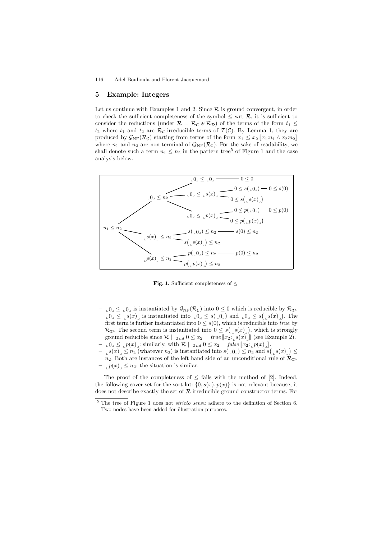### 5 Example: Integers

Let us continue with Examples 1 and 2. Since  $\mathcal R$  is ground convergent, in order to check the sufficient completeness of the symbol  $\leq$  wrt  $\mathcal{R}$ , it is sufficient to consider the reductions (under  $\mathcal{R} = \mathcal{R}_{\mathcal{C}} \oplus \mathcal{R}_{\mathcal{D}}$ ) of the terms of the form  $t_1 \leq$  $t_2$  where  $t_1$  and  $t_2$  are  $\mathcal{R}_{\mathcal{C}}$ -irreducible terms of  $\mathcal{T}(\mathcal{C})$ . By Lemma 1, they are produced by  $\mathcal{G}_{\rm NF}(\mathcal{R}_{\mathcal{C}})$  starting from terms of the form  $x_1 \leq x_2 \llbracket x_1 : n_1 \wedge x_2 : n_2 \rrbracket$ where  $n_1$  and  $n_2$  are non-terminal of  $Q_{\rm NF}(\mathcal{R}_{\mathcal{C}})$ . For the sake of readability, we shall denote such a term  $n_1 \leq n_2$  in the pattern tree<sup>5</sup> of Figure 1 and the case analysis below.



Fig. 1. Sufficient completeness of  $\leq$ 

- $\alpha$ ,  $0 \leq \alpha$  is instantiated by  $\mathcal{G}_{\rm NF}(\mathcal{R}_{\mathcal{C}})$  into  $0 \leq 0$  which is reducible by  $\mathcal{R}_{\mathcal{D}}$ .  $\iota$ <sub>0</sub> $\iota$   $\leq$   $s(x)$  is instantiated into  $\iota$ <sub>0</sub> $\iota$   $\leq$   $s(\iota$ <sub>0</sub> $)$  and  $\iota$ <sub>0</sub> $\iota$   $\leq$   $s(\iota s)(x)$ ). The first term is further instantiated into  $0 \leq s(0)$ , which is reducible into *true* by  $\mathcal{R}_{\mathcal{D}}$ . The second term is instantiated into  $0 \leq s\left(\frac{1}{s(x)}\right)$ , which is strongly ground reducible since  $\mathcal{R} \models_{\mathcal{I}nd} 0 \leq x_2 = \text{true} \left[ x_2 : \_s(x) \right]$  (see Example 2).
- $\Box 0 \leq \Box p(x)$ : similarly, with  $\mathcal{R} \models_{\mathcal{I}nd} 0 \leq x_2 = \text{false} \llbracket x_2 : \Box p(x) \rrbracket.$
- $-$ <sub>L</sub> $s(x)$ <sub>L</sub> $\leq n_2$  (whatever  $n_2$ ) is instantiated into  $s$ ( $\lfloor 0 \rfloor$ )  $\leq n_2$  and  $s$ ( $\lfloor s(x) \rfloor$ )  $\leq$  $n_2$ . Both are instances of the left hand side of an unconditional rule of  $\mathcal{R}_D$ .  $|p(x)| \leq n_2$ : the situation is similar.

The proof of the completeness of  $\leq$  fails with the method of [2]. Indeed, the following cover set for the sort lnt:  $\{0, s(x), p(x)\}\$ is not relevant because, it does not describe exactly the set of R-irreducible ground constructor terms. For

<sup>5</sup> The tree of Figure 1 does not *stricto sensu* adhere to the definition of Section 6. Two nodes have been added for illustration purposes.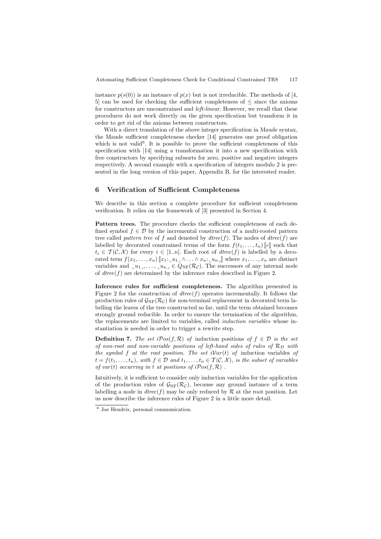instance  $p(s(0))$  is an instance of  $p(x)$  but is not irreducible. The methods of [4, 5] can be used for checking the sufficient completeness of  $\leq$  since the axioms for constructors are unconstrained and *left-linear*. However, we recall that these procedures do not work directly on the given specification but transform it in order to get rid of the axioms between constructors.

With a direct translation of the above integer specification in Maude syntax, the Maude sufficient completeness checker [14] generates one proof obligation which is not valid<sup>6</sup>. It is possible to prove the sufficient completeness of this specification with [14] using a transformation it into a new specification with free constructors by specifying subsorts for zero, positive and negative integers respectively. A second example with a specification of integers modulo 2 is presented in the long version of this paper, Appendix B, for the interested reader.

## 6 Verification of Sufficient Completeness

We describe in this section a complete procedure for sufficient completeness verification. It relies on the framework of [3] presented in Section 4.

Pattern trees. The procedure checks the sufficient completeness of each defined symbol  $f \in \mathcal{D}$  by the incremental construction of a multi-rooted pattern tree called pattern tree of f and denoted by  $d$ tree(f). The nodes of  $d$ tree(f) are labelled by decorated constrained terms of the form  $f(t_1, \ldots, t_n)$   $\llbracket c \rrbracket$  such that  $t_i \in \mathcal{T}(\mathcal{C}, \mathcal{X})$  for every  $i \in [1..n]$ . Each root of  $\text{dtree}(f)$  is labelled by a decorated term  $f(x_1, \ldots, x_n)$   $\llbracket x_1 : \llbracket u_1 \rrbracket \wedge \ldots \wedge x_n : \llbracket u_n \rrbracket$  where  $x_1, \ldots, x_n$  are distinct variables and  $\iota_u_1, \ldots, \iota_u_n \in Q_{NF}(\mathcal{R}_{\mathcal{C}})$ . The successors of any internal node of  $dtree(f)$  are determined by the inference rules described in Figure 2.

Inference rules for sufficient completeness. The algorithm presented in Figure 2 for the construction of  $dtree(f)$  operates incrementally. It follows the production rules of  $\mathcal{G}_{\rm NF}(\mathcal{R}_{\mathcal{C}})$  for non-terminal replacement in decorated term labelling the leaves of the tree constructed so far, until the term obtained becomes strongly ground reducible. In order to ensure the termination of the algorithm, the replacements are limited to variables, called induction variables whose instantiation is needed in order to trigger a rewrite step.

**Definition 7.** The set  $iPos(f, \mathcal{R})$  of induction positions of  $f \in \mathcal{D}$  is the set of non-root and non-variable positions of left-hand sides of rules of  $\mathcal{R}_{\mathcal{D}}$  with the symbol f at the root position. The set  $iVar(t)$  of induction variables of  $t = f(t_1, \ldots, t_n)$ , with  $f \in \mathcal{D}$  and  $t_1, \ldots, t_n \in \mathcal{T}(\mathcal{C}, \mathcal{X})$ , is the subset of variables of var(t) occurring in t at positions of  $iPos(f, \mathcal{R})$ .

Intuitively, it is sufficient to consider only induction variables for the application of the production rules of  $\mathcal{G}_{\text{NF}}(\mathcal{R}_{\mathcal{C}})$ , because any ground instance of a term labelling a node in  $dtree(f)$  may be only reduced by  $R$  at the root position. Let us now describe the inference rules of Figure 2 in a little more detail.

<sup>6</sup> Joe Hendrix, personal communication.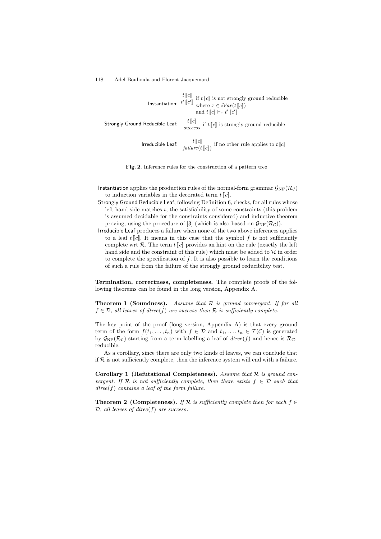| $\textbf{Instantiation: } \frac{t \left[\!\left[c\right]\!\right]}{t'\left[\!\left[c'\right]\!\right]} \text{ if } t\left[\!\left[c\right]\!\right] \text{ is not strongly ground reducible} \\ \textbf{where } x \in i\mathcal{V}ar(t\left[\!\left[c\right]\!\right])$<br>and $t\llbracket c \rrbracket \vdash_x t' \llbracket c' \rrbracket$ |
|------------------------------------------------------------------------------------------------------------------------------------------------------------------------------------------------------------------------------------------------------------------------------------------------------------------------------------------------|
| Strongly Ground Reducible Leaf: $\frac{t\, [\![c]\!] }{r\, \cdots r}$ if $t\, [\![c]\!]$ is strongly ground reducible<br>success                                                                                                                                                                                                               |
| <b>Irreducible Leaf:</b> $\frac{t [c]}{failure(t [c])}$ if no other rule applies to $t [c]$                                                                                                                                                                                                                                                    |

Fig. 2. Inference rules for the construction of a pattern tree

- Instantiation applies the production rules of the normal-form grammar  $\mathcal{G}_{\text{NF}}(\mathcal{R}_\mathcal{C})$ to induction variables in the decorated term  $t\llbracket c \rrbracket$ .
- Strongly Ground Reducible Leaf, following Definition 6, checks, for all rules whose left hand side matches  $t$ , the satisfiability of some constraints (this problem is assumed decidable for the constraints considered) and inductive theorem proving, using the procedure of [3] (which is also based on  $\mathcal{G}_{\rm NF}(\mathcal{R}_{\mathcal{C}})$ ).
- Irreducible Leaf produces a failure when none of the two above inferences applies to a leaf  $t$   $\llbracket c \rrbracket$ . It means in this case that the symbol f is not sufficiently complete wrt  $\mathcal{R}$ . The term  $t$  [c] provides an hint on the rule (exactly the left hand side and the constraint of this rule) which must be added to  $R$  in order to complete the specification of  $f$ . It is also possible to learn the conditions of such a rule from the failure of the strongly ground reducibility test.

Termination, correctness, completeness. The complete proofs of the following theorems can be found in the long version, Appendix A.

**Theorem 1 (Soundness).** Assume that  $\mathcal{R}$  is ground convergent. If for all  $f \in \mathcal{D}$ , all leaves of dtree(f) are success then  $\mathcal{R}$  is sufficiently complete.

The key point of the proof (long version, Appendix A) is that every ground term of the form  $f(t_1, \ldots, t_n)$  with  $f \in \mathcal{D}$  and  $t_1, \ldots, t_n \in \mathcal{T}(\mathcal{C})$  is generated by  $\mathcal{G}_{\text{NF}}(\mathcal{R}_{\mathcal{C}})$  starting from a term labelling a leaf of  $dtree(f)$  and hence is  $\mathcal{R}_{\mathcal{D}}$ reducible.

As a corollary, since there are only two kinds of leaves, we can conclude that if  $R$  is not sufficiently complete, then the inference system will end with a failure.

Corollary 1 (Refutational Completeness). Assume that  $R$  is ground convergent. If  $\mathcal R$  is not sufficiently complete, then there exists  $f \in \mathcal D$  such that  $dtree(f)$  contains a leaf of the form failure.

**Theorem 2 (Completeness).** If R is sufficiently complete then for each  $f \in$  $D$ , all leaves of dtree(f) are success.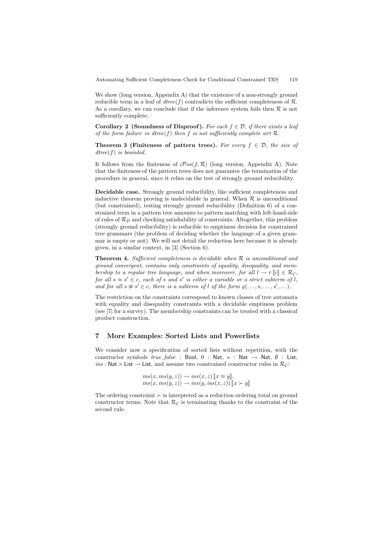We show (long version, Appendix A) that the existence of a non-strongly ground reducible term in a leaf of  $dtree(f)$  contradicts the sufficient completeness of  $\mathcal{R}$ . As a corollary, we can conclude that if the inference system fails then  $\mathcal R$  is not sufficiently complete.

Corollary 2 (Soundness of Disproof). For each  $f \in \mathcal{D}$ , if there exists a leaf of the form failure in dtree(f) then f is not sufficiently complete wrt  $\mathcal{R}$ .

**Theorem 3 (Finiteness of pattern trees).** For every  $f \in \mathcal{D}$ , the size of dtree(f) is bounded.

It follows from the finiteness of  $iPos(f, \mathcal{R})$  (long version, Appendix A). Note that the finiteness of the pattern trees does not guarantee the termination of the procedure in general, since it relies on the test of strongly ground reducibility.

Decidable case. Strongly ground reducibility, like sufficient completeness and inductive theorem proving is undecidable in general. When  $R$  is unconditional (but constrained), testing strongly ground reducibility (Definition 6) of a constrained term in a pattern tree amounts to pattern matching with left-hand-side of rules of  $\mathcal{R}_\mathcal{D}$  and checking satisfiability of constraints. Altogether, this problem (strongly ground reducibility) is reducible to emptiness decision for constrained tree grammars (the problem of deciding whether the language of a given grammar is empty or not). We will not detail the reduction here because it is already given, in a similar context, in [3] (Section 6).

**Theorem 4.** Sufficient completeness is decidable when  $\mathcal{R}$  is unconditional and ground convergent, contains only constraints of equality, disequality, and membership to a regular tree language, and when moreover, for all  $l \to r \llbracket c \rrbracket \in \mathcal{R}_{\mathcal{C}}$ , for all  $s \approx s' \in c$ , each of s and s' is either a variable or a strict subterm of l, and for all  $s \not\approx s' \in c$ , there is a subterm of l of the form  $g(\ldots, s, \ldots, s', \ldots)$ .

The restriction on the constraints correspond to known classes of tree automata with equality and disequality constraints with a decidable emptiness problem (see [7] for a survey). The membership constraints can be treated with a classical product construction.

## 7 More Examples: Sorted Lists and Powerlists

We consider now a specification of sorted lists without repetition, with the constructor symbols  $true, false$ : Bool, 0 : Nat, s : Nat  $\rightarrow$  Nat,  $\emptyset$  : List, ins : Nat  $\times$  List  $\rightarrow$  List, and assume two constrained constructor rules in  $\mathcal{R}_{\mathcal{C}}$ :

$$
ins(x, ins(y, z)) \rightarrow ins(x, z) \llbracket x \approx y \rrbracket,
$$
  

$$
ins(x, ins(y, z)) \rightarrow ins(y, ins(x, z)) \llbracket x \succ y \rrbracket
$$

The ordering constraint  $\succ$  is interpreted as a reduction ordering total on ground constructor terms. Note that  $\mathcal{R}_{\mathcal{C}}$  is terminating thanks to the constraint of the second rule.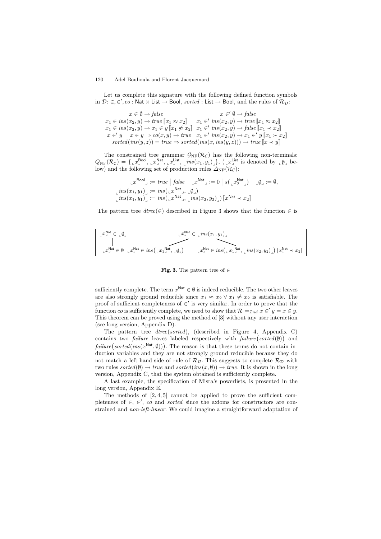Let us complete this signature with the following defined function symbols in  $\mathcal{D}:\in,\in',co: \mathsf{Nat}\times \mathsf{List}\to \mathsf{Bool}$ , sorted : List  $\to$  Bool, and the rules of  $\mathcal{R}_{\mathcal{D}}$ :

 $x \in \emptyset \rightarrow false$  $x_1 \in ins(x_2, y) \rightarrow true \llbracket x_1 \approx x_2 \rrbracket \quad x_1 \in' ins(x_2, y) \rightarrow true \llbracket x_1 \approx x_2 \rrbracket$  $x_1 \in ins(x_2, y) \rightarrow x_1 \in y \llbracket x_1 \not\approx x_2 \rrbracket$  $x \in 'y = x \in y \Rightarrow co(x, y) \rightarrow true$  $x \in' \emptyset \rightarrow false$  $x_1 \in' ins(x_2, y) \rightarrow false \llbracket x_1 \prec x_2 \rrbracket$  $x_1 \in' ins(x_2, y) \rightarrow x_1 \in' y \llbracket x_1 \succ x_2 \rrbracket$  $sorted-ins(y, z)) = true \Rightarrow sorted-ins(x, ins(y, z))) \rightarrow true \; \mathbb{R} \times y$ 

The constrained tree grammar  $\mathcal{G}_{\rm NF}(\mathcal{R}_{\mathcal{C}})$  has the following non-terminals:  $Q_{\rm NF}(\mathcal{R}_\mathcal{C}) = \{\llcorner x^\text{Bool}_\sqcup,\llcorner x^\text{Nat}_\sqcup,\llcorner x^\text{List}_\sqcup,\llcorner ins(x_1,y_1)_\sqcup\},\ (\llcorner x_\sqcup^\text{List} \text{ is denoted by }\llcorner \emptyset \rrbracket$  below) and the following set of production rules  $\Delta_{\text{NF}}(\mathcal{R}_{\mathcal{C}})$ :

$$
\mathbf{L}x^{\text{Bool}} \mathbf{L} := \text{true} \mid \text{false} \quad \mathbf{L}x^{\text{Nat}} \mathbf{L} := 0 \mid s(\mathbf{L}x_2^{\text{Nat}}) \quad \mathbf{L}\emptyset \mathbf{L} := \emptyset,
$$
\n
$$
\mathbf{L} \text{ins}(x_1, y_1) \mathbf{L} := \text{ins}(\mathbf{L}x^{\text{Nat}} \mathbf{L}, \mathbf{L}\emptyset \mathbf{L})
$$
\n
$$
\mathbf{L} \text{ins}(x_1, y_1) \mathbf{L} := \text{ins}(\mathbf{L}x^{\text{Nat}} \mathbf{L}, \mathbf{L} \text{ins}(x_2, y_2) \mathbf{L}) [\mathbf{L}x^{\text{Nat}} \prec x_2] \mathbf{L}
$$

The pattern tree  $dtree(\epsilon)$  described in Figure 3 shows that the function  $\epsilon$  is

| $\mathcal{L}^{\mathsf{Nat}} \in \mathcal{L}$ | $\mathbb{L} x^{\text{Nat}} \in \mathbb{L}$ ins $(x_1, y_1)$                                                                                                                                                                                                                                                                                                               |
|----------------------------------------------|---------------------------------------------------------------------------------------------------------------------------------------------------------------------------------------------------------------------------------------------------------------------------------------------------------------------------------------------------------------------------|
|                                              |                                                                                                                                                                                                                                                                                                                                                                           |
|                                              | $\mathcal{L}_{\perp} x_{\perp}^{\mathsf{Nat}} \in ins\big(\mathcal{L}x_1^{\mathsf{Nat}}, \mathcal{L}ins(x_2,y_2)\big)$ $\llbracket x_1^{\mathsf{Nat}} \prec x_2 \rrbracket$<br>$\mathcal{L} x^{\mathsf{Nat}}_{\mathsf{I}} \in \emptyset$ $\mathcal{L} x^{\mathsf{Nat}}_{\mathsf{I}} \in ins\left(\mathcal{L} x^{\mathsf{Nat}}_{\mathsf{I}}\right), \mathcal{L} \emptyset$ |

Fig. 3. The pattern tree of  $\in$ 

sufficiently complete. The term  $x^{\text{Nat}} \in \emptyset$  is indeed reducible. The two other leaves are also strongly ground reducible since  $x_1 \approx x_2 \vee x_1 \not\approx x_2$  is satisfiable. The proof of sufficient completeness of  $\in'$  is very similar. In order to prove that the function co is sufficiently complete, we need to show that  $\mathcal{R} \models_{\mathcal{I}nd} x \in' y = x \in y$ . This theorem can be proved using the method of [3] without any user interaction (see long version, Appendix D).

The pattern tree dtree(sorted), (described in Figure 4, Appendix C) contains two *failure* leaves labeled respectively with  $\hat{f} \text{a} \text{i} \text{l} \text{u} \text{r} \text{e} \text{(} \text{w} \text{)}$  and  $\textit{failure}(\textit{sorted}(\textit{ins}(x^{\textsf{Nat}},\emptyset)))$ . The reason is that these terms do not contain induction variables and they are not strongly ground reducible because they do not match a left-hand-side of rule of  $\mathcal{R}_D$ . This suggests to complete  $\mathcal{R}_D$  with two rules sorted( $(\emptyset) \rightarrow true$  and sorted(ins(x,  $(\emptyset) \rightarrow true$ . It is shown in the long version, Appendix C, that the system obtained is sufficiently complete.

A last example, the specification of Misra's powerlists, is presented in the long version, Appendix E.

The methods of  $[2, 4, 5]$  cannot be applied to prove the sufficient completeness of  $\in$ ,  $\in'$ , co and *sorted* since the axioms for constructors are constrained and non-left-linear. We could imagine a straightforward adaptation of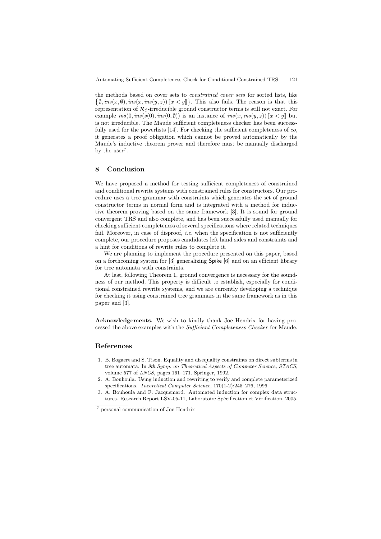the methods based on cover sets to *constrained cover sets* for sorted lists, like  $\emptyset$ ,  $ins(x, \emptyset)$ ,  $ins(x, ins(y, z))$   $\llbracket x < y \rrbracket$ . This also fails. The reason is that this representation of  $\mathcal{R}_{\mathcal{C}}$ -irreducible ground constructor terms is still not exact. For example  $ins(0, ins(s(0), ins(0, \emptyset))$  is an instance of  $ins(x, ins(y, z))$   $\llbracket x < y \rrbracket$  but is not irreducible. The Maude sufficient completeness checker has been successfully used for the powerlists [14]. For checking the sufficient completeness of co, it generates a proof obligation which cannot be proved automatically by the Maude's inductive theorem prover and therefore must be manually discharged by the user<sup>7</sup>.

## 8 Conclusion

We have proposed a method for testing sufficient completeness of constrained and conditional rewrite systems with constrained rules for constructors. Our procedure uses a tree grammar with constraints which generates the set of ground constructor terms in normal form and is integrated with a method for inductive theorem proving based on the same framework [3]. It is sound for ground convergent TRS and also complete, and has been successfully used manually for checking sufficient completeness of several specifications where related techniques fail. Moreover, in case of disproof, *i.e.* when the specification is not sufficiently complete, our procedure proposes candidates left hand sides and constraints and a hint for conditions of rewrite rules to complete it.

We are planning to implement the procedure presented on this paper, based on a forthcoming system for [3] generalizing Spike [6] and on an efficient library for tree automata with constraints.

At last, following Theorem 1, ground convergence is necessary for the soundness of our method. This property is difficult to establish, especially for conditional constrained rewrite systems, and we are currently developing a technique for checking it using constrained tree grammars in the same framework as in this paper and [3].

Acknowledgements. We wish to kindly thank Joe Hendrix for having processed the above examples with the Sufficient Completeness Checker for Maude.

## References

- 1. B. Bogaert and S. Tison. Equality and disequality constraints on direct subterms in tree automata. In *9th Symp. on Theoretical Aspects of Computer Science, STACS*, volume 577 of *LNCS*, pages 161–171. Springer, 1992.
- 2. A. Bouhoula. Using induction and rewriting to verify and complete parameterized specifications. *Theoretical Computer Science*, 170(1-2):245–276, 1996.
- 3. A. Bouhoula and F. Jacquemard. Automated induction for complex data structures. Research Report LSV-05-11, Laboratoire Spécification et Vérification, 2005.

<sup>7</sup> personal communication of Joe Hendrix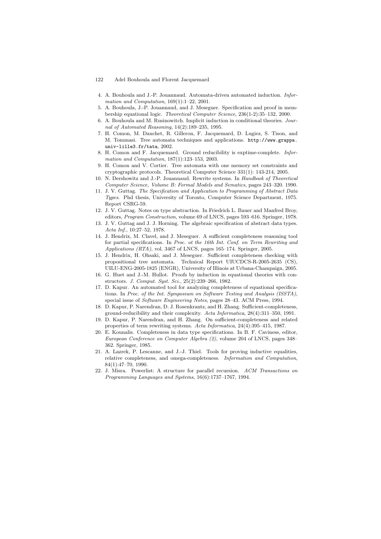- 4. A. Bouhoula and J.-P. Jouannaud. Automata-driven automated induction. *Information and Computation*, 169(1):1–22, 2001.
- 5. A. Bouhoula, J.-P. Jouannaud, and J. Meseguer. Specification and proof in membership equational logic. *Theoretical Computer Science*, 236(1-2):35–132, 2000.
- 6. A. Bouhoula and M. Rusinowitch. Implicit induction in conditional theories. *Journal of Automated Reasoning*, 14(2):189–235, 1995.
- 7. H. Comon, M. Dauchet, R. Gilleron, F. Jacquemard, D. Lugiez, S. Tison, and M. Tommasi. Tree automata techniques and applications. http://www.grappa. univ-lille3.fr/tata, 2002.
- 8. H. Comon and F. Jacquemard. Ground reducibility is exptime-complete. *Information and Computation*, 187(1):123–153, 2003.
- 9. H. Comon and V. Cortier. Tree automata with one memory set constraints and cryptographic protocols. Theoretical Computer Science 331(1): 143-214, 2005.
- 10. N. Dershowitz and J.-P. Jouannaud. Rewrite systems. In *Handbook of Theoretical Computer Science, Volume B: Formal Models and Sematics*, pages 243–320. 1990.
- 11. J. V. Guttag. *The Specification and Application to Programming of Abstract Data Types*. Phd thesis, University of Toronto, Computer Science Department, 1975. Report CSRG-59.
- 12. J. V. Guttag. Notes on type abstraction. In Friedrich L. Bauer and Manfred Broy, editors, *Program Construction*, volume 69 of LNCS, pages 593–616. Springer, 1978.
- 13. J. V. Guttag and J. J. Horning. The algebraic specification of abstract data types. *Acta Inf.*, 10:27–52, 1978.
- 14. J. Hendrix, M. Clavel, and J. Meseguer. A sufficient completeness reasoning tool for partial specifications. In *Proc. ot the 16th Int. Conf. on Term Rewriting and Applications (RTA)*, vol. 3467 of LNCS, pages 165–174. Springer, 2005.
- 15. J. Hendrix, H. Ohsaki, and J. Meseguer. Sufficient completeness checking with propositional tree automata. Technical Report UIUCDCS-R-2005-2635 (CS), UILU-ENG-2005-1825 (ENGR), University of Illinois at Urbana-Champaign, 2005.
- 16. G. Huet and J.-M. Hullot. Proofs by induction in equational theories with constructors. *J. Comput. Syst. Sci.*, 25(2):239–266, 1982.
- 17. D. Kapur. An automated tool for analyzing completeness of equational specifications. In *Proc. of the Int. Symposium on Software Testing and Analysis (ISSTA)*, special issue of *Software Engineering Notes*, pages 28–43. ACM Press, 1994.
- 18. D. Kapur, P. Narendran, D. J. Rosenkrantz, and H. Zhang. Sufficient-completeness, ground-reducibility and their complexity. *Acta Informatica*, 28(4):311–350, 1991.
- 19. D. Kapur, P. Narendran, and H. Zhang. On sufficient-completeness and related properties of term rewriting systems. *Acta Informatica*, 24(4):395–415, 1987.
- 20. E. Kounalis. Completeness in data type specifications. In B. F. Caviness, editor, *European Conference on Computer Algebra (2)*, volume 204 of LNCS, pages 348– 362. Springer, 1985.
- 21. A. Lazrek, P. Lescanne, and J.-J. Thiel. Tools for proving inductive equalities, relative completeness, and omega-completeness. *Information and Computation*, 84(1):47–70, 1990.
- 22. J. Misra. Powerlist: A structure for parallel recursion. *ACM Transactions on Programming Languages and Systems*, 16(6):1737–1767, 1994.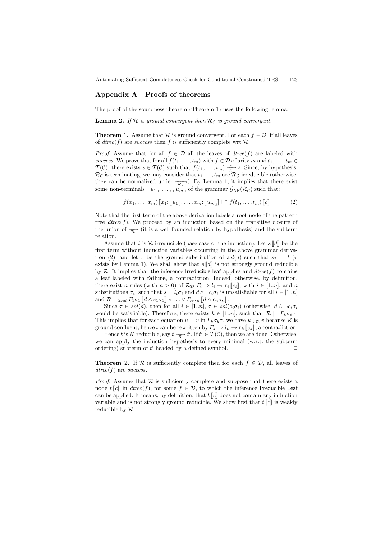## Appendix A Proofs of theorems

The proof of the soundness theorem (Theorem 1) uses the following lemma.

**Lemma 2.** If  $\mathcal{R}$  is ground convergent then  $\mathcal{R}_c$  is ground convergent.

**Theorem 1.** Assume that  $\mathcal{R}$  is ground convergent. For each  $f \in \mathcal{D}$ , if all leaves of dtree(f) are success then f is sufficiently complete wrt  $\mathcal{R}$ .

*Proof.* Assume that for all  $f \in \mathcal{D}$  all the leaves of  $dtree(f)$  are labeled with success. We prove that for all  $f(t_1, \ldots, t_m)$  with  $f \in \mathcal{D}$  of arity m and  $t_1, \ldots, t_m \in$  $\mathcal{T}(\mathcal{C})$ , there exists  $s \in \mathcal{T}(\mathcal{C})$  such that  $f(t_1, \ldots, t_m) \stackrel{*}{\underset{\mathcal{R}}{\longrightarrow}} s$ . Since, by hypothesis,  $\mathcal{R}_{\mathcal{C}}$  is terminating, we may consider that  $t_1 \ldots, t_m$  are  $\mathcal{R}_{\mathcal{C}}$ -irreducible (otherwise, they can be normalized under  $\frac{ }{\mathcal{R}_{c}}$ . By Lemma 1, it implies that there exist some non-terminals  $\iota u_1, \ldots, \iota u_m$  of the grammar  $\mathcal{G}_{\text{NF}}(\mathcal{R}_c)$  such that:

$$
f(x_1,\ldots,x_m)\left[x_1;\ldots,x_m;\ldots,x_m;\ldots,u_{m}\right]\right| \vdash^* f(t_1,\ldots,t_m)\left[\left[c\right]\right]
$$
 (2)

Note that the first term of the above derivation labels a root node of the pattern tree  $dtree(f)$ . We proceed by an induction based on the transitive closure of the union of  $\overrightarrow{\mathcal{R}}$  (it is a well-founded relation by hypothesis) and the subterm relation.

Assume that t is  $\mathcal R$ -irreducible (base case of the induction). Let  $s[[d]]$  be the first term without induction variables occurring in the above grammar derivation (2), and let  $\tau$  be the ground substitution of sol(d) such that  $s\tau = t$  ( $\tau$ ) exists by Lemma 1). We shall show that  $s \llbracket d \rrbracket$  is not strongly ground reducible by R. It implies that the inference Irreducible leaf applies and  $dtree(f)$  contains a leaf labeled with failure, a contradiction. Indeed, otherwise, by definition, there exist n rules (with  $n > 0$ ) of  $\mathcal{R}_{\mathcal{D}} \Gamma_i \Rightarrow l_i \rightarrow r_i \llbracket c_i \rrbracket$ , with  $i \in [1..n]$ , and n substitutions  $\sigma_i$ , such that  $s = l_i \sigma_i$  and  $d \wedge \neg c_i \sigma_i$  is unsatisfiable for all  $i \in [1..n]$ and  $\mathcal{R} \models_{\mathcal{I}nd} \Gamma_1\sigma_1 \llbracket d \wedge c_1\sigma_1 \rrbracket \vee \ldots \vee \Gamma_n\sigma_n \llbracket d \wedge c_n\sigma_n \rrbracket.$ 

Since  $\tau \in sol(d)$ , then for all  $i \in [1..n], \tau \in sol(c_i\sigma_i)$  (otherwise,  $d \wedge \neg c_i\sigma_i$ ) would be satisfiable). Therefore, there exists  $k \in [1..n]$ , such that  $\mathcal{R} \models \Gamma_k \sigma_k \tau$ . This implies that for each equation  $u = v$  in  $\Gamma_k \sigma_k \tau$ , we have  $u \downarrow_{\mathcal{R}} v$  because  $\mathcal R$  is ground confluent, hence t can be rewritten by  $\Gamma_k \Rightarrow l_k \to r_k \llbracket c_k \rrbracket$ , a contradiction.

Hence t is R-reducible, say  $t \frac{1}{R}$  t'. If  $t' \in \mathcal{T}(\mathcal{C})$ , then we are done. Otherwise, we can apply the induction hypothesis to every minimal (w.r.t. the subterm ordering) subterm of  $t'$  headed by a defined symbol.  $\Box$ 

**Theorem 2.** If  $\mathcal{R}$  is sufficiently complete then for each  $f \in \mathcal{D}$ , all leaves of  $dtree(f)$  are success.

*Proof.* Assume that  $\mathcal R$  is sufficiently complete and suppose that there exists a node  $t$  [c] in dtree(f), for some  $f \in \mathcal{D}$ , to which the inference Irreducible Leaf can be applied. It means, by definition, that  $t$   $\llbracket c \rrbracket$  does not contain any induction variable and is not strongly ground reducible. We show first that  $t\llbracket c \rrbracket$  is weakly reducible by R.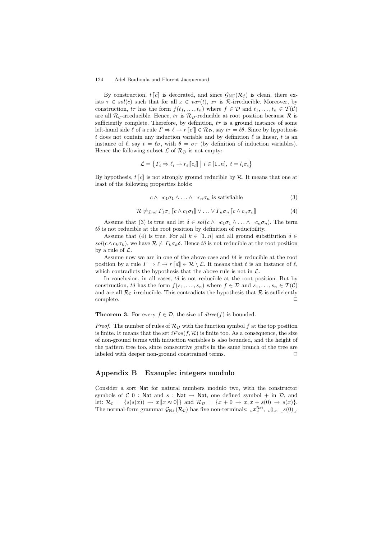By construction,  $t\llbracket c \rrbracket$  is decorated, and since  $\mathcal{G}_{NF}(\mathcal{R}_c)$  is clean, there exists  $\tau \in sol(c)$  such that for all  $x \in var(t)$ ,  $x\tau$  is  $\mathcal{R}$ -irreducible. Moreover, by construction,  $t\tau$  has the form  $f(t_1, \ldots, t_n)$  where  $f \in \mathcal{D}$  and  $t_1, \ldots, t_n \in \mathcal{T}(\mathcal{C})$ are all  $\mathcal{R}_c$ -irreducible. Hence,  $t\tau$  is  $\mathcal{R}_D$ -reducible at root position because  $\mathcal R$  is sufficiently complete. Therefore, by definition,  $t\tau$  is a ground instance of some left-hand side  $\ell$  of a rule  $\Gamma \Rightarrow \ell \to r \llbracket c' \rrbracket \in \mathcal{R}_{\mathcal{D}}$ , say  $t\tau = \ell \theta$ . Since by hypothesis t does not contain any induction variable and by definition  $\ell$  is linear, t is an instance of  $\ell$ , say  $t = \ell \sigma$ , with  $\theta = \sigma \tau$  (by definition of induction variables). Hence the following subset  $\mathcal L$  of  $\mathcal R_{\mathcal D}$  is not empty:

$$
\mathcal{L} = \{ \Gamma_i \Rightarrow \ell_i \rightarrow r_i \, [\![c_i]\!] \mid i \in [1..n], \ t = l_i \sigma_i \}
$$

By hypothesis,  $t \llbracket c \rrbracket$  is not strongly ground reducible by R. It means that one at least of the following properties holds:

$$
c \wedge \neg c_1 \sigma_1 \wedge \ldots \wedge \neg c_n \sigma_n \text{ is satisfiable} \tag{3}
$$

$$
\mathcal{R} \not\models_{\mathcal{I}nd} \Gamma_1\sigma_1 \llbracket c \wedge c_1\sigma_1 \rrbracket \vee \ldots \vee \Gamma_n\sigma_n \llbracket c \wedge c_n\sigma_n \rrbracket \tag{4}
$$

Assume that (3) is true and let  $\delta \in sol(c \wedge \neg c_1 \sigma_1 \wedge \dots \wedge \neg c_n \sigma_n)$ . The term  $t\delta$  is not reducible at the root position by definition of reducibility.

Assume that (4) is true. For all  $k \in [1..n]$  and all ground substitution  $\delta \in$ sol( $c \wedge c_k \sigma_k$ ), we have  $\mathcal{R} \not\models \Gamma_k \sigma_k \delta$ . Hence to is not reducible at the root position by a rule of  $\mathcal{L}$ .

Assume now we are in one of the above case and  $t\delta$  is reducible at the root position by a rule  $\Gamma \Rightarrow \ell \to r \llbracket d \rrbracket \in \mathcal{R} \setminus \mathcal{L}$ . It means that t is an instance of  $\ell$ , which contradicts the hypothesis that the above rule is not in  $\mathcal{L}$ .

In conclusion, in all cases,  $t\delta$  is not reducible at the root position. But by construction, to has the form  $f(s_1,...,s_n)$  where  $f \in \mathcal{D}$  and  $s_1,...,s_n \in \mathcal{T}(\mathcal{C})$ and are all  $\mathcal{R}_c$ -irreducible. This contradicts the hypothesis that  $\mathcal R$  is sufficiently complete complete. ✷

## **Theorem 3.** For every  $f \in \mathcal{D}$ , the size of  $\text{dtree}(f)$  is bounded.

*Proof.* The number of rules of  $\mathcal{R}_D$  with the function symbol f at the top position is finite. It means that the set  $i\mathcal{P}os(f,\mathcal{R})$  is finite too. As a consequence, the size of non-ground terms with induction variables is also bounded, and the height of the pattern tree too, since consecutive grafts in the same branch of the tree are labeled with deeper non-ground constrained terms.  $\Box$ 

## Appendix B Example: integers modulo

Consider a sort Nat for natural numbers modulo two, with the constructor symbols of  $C$  0 : Nat and  $s$  : Nat  $\rightarrow$  Nat, one defined symbol + in  $D$ , and let:  $\mathcal{R}_{\mathcal{C}} = \{s(s(x)) \rightarrow x \llbracket x \approx 0 \rrbracket \}$  and  $\mathcal{R}_{\mathcal{D}} = \{x + 0 \rightarrow x, x + s(0) \rightarrow s(x)\}.$ The normal-form grammar  $\mathcal{G}_{\rm NF}(\mathcal{R}_{\mathcal{C}})$  has five non-terminals:  $\mathcal{L}^{\rm Nat}$ ,  $\mathcal{L}^{0}$ ,  $\mathcal{S}(0)$ ,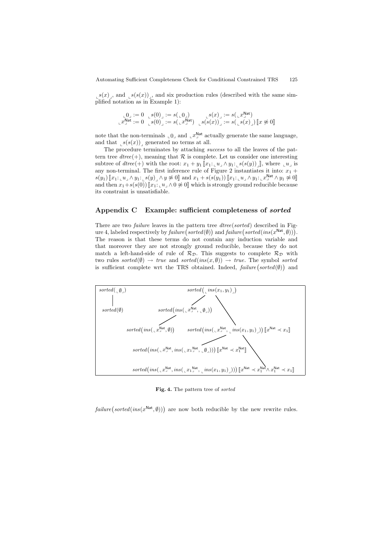$s(x)$ , and  $s(s(x))$ , and six production rules (described with the same simplified notation as in Example 1):

$$
\begin{array}{ll}\n\mathbf{L}0 \mathbf{J} := 0 & \mathbf{S}(0) \mathbf{J} := s(\mathbf{L}0 \mathbf{J}) & \mathbf{S}(x) \mathbf{J} := s(\mathbf{L}x \mathbf{J}^{\text{Nat}}) \\
\mathbf{L}x \mathbf{J}^{\text{Nat}} := 0 & \mathbf{S}(0) \mathbf{J} := s(\mathbf{L}x \mathbf{J}^{\text{Nat}}) & \mathbf{S}(s(x)) \mathbf{J} := s(\mathbf{L}x \mathbf{J} \mathbf{J}) \quad \mathbf{L} \mathbf{S}(0 \mathbf{J})\n\end{array}
$$

note that the non-terminals  $\llcorner 0\lrcorner$  and  $\llcorner x\rrbracket^{\text{Nat}}$  actually generate the same language, and that  $s(s(x))$  generated no terms at all.

The procedure terminates by attaching success to all the leaves of the pattern tree  $dtree(+)$ , meaning that  $\mathcal R$  is complete. Let us consider one interesting subtree of dtree(+) with the root:  $x_1 + y_1 [x_1: u \wedge y_1: s(s(y))]$ , where  $u \wedge u$  is any non-terminal. The first inference rule of Figure 2 instantiates it into:  $x_1 +$  $s(y_1)\left[\!\left[x_1\!\!\cdot_\text{\tiny L} \!u_{\lrcorner}\wedge y_1\!\!\cdot_\text{\tiny L} \!s(y)\right]\wedge y\not\approx 0\right]\text{ and }x_1+s(s(y_1))\left[\!\left[x_1\!\!\cdot_\text{\tiny L} \!u_{\lrcorner}\wedge y_1\!\!\cdot_\text{\tiny L} \!x_\rightarrow{\text{\tiny N}}\!\!\cdot\wedge y_1\right.\not\approx 0\right]$ and then  $x_1+s(s(0))$   $\llbracket x_1: u_1 \wedge 0 \not\approx 0 \llbracket$  which is strongly ground reducible because its constraint is unsatisfiable.

## Appendix C Example: sufficient completeness of *sorted*

There are two *failure* leaves in the pattern tree *dtree(sorted)* described in Figure 4, labeled respectively by  $\textit{failure}(\textit{sorted}(\emptyset))$  and  $\textit{failure}(\textit{sorted}(\textit{ins}(x^{\textsf{Nat}}, \emptyset)))$ . The reason is that these terms do not contain any induction variable and that moreover they are not strongly ground reducible, because they do not match a left-hand-side of rule of  $\mathcal{R}_{\mathcal{D}}$ . This suggests to complete  $\mathcal{R}_{\mathcal{D}}$  with two rules sorted( $(\emptyset) \rightarrow true$  and sorted(ins(x,  $(\emptyset) \rightarrow true$ . The symbol sorted is sufficient complete wrt the TRS obtained. Indeed,  $\mathit{failure}(\mathit{sorted}(\emptyset))$  and



Fig. 4. The pattern tree of *sorted*

 $\text{failure}(\text{sorted}(\text{ins}(x^{\text{Nat}},\emptyset)))$  are now both reducible by the new rewrite rules.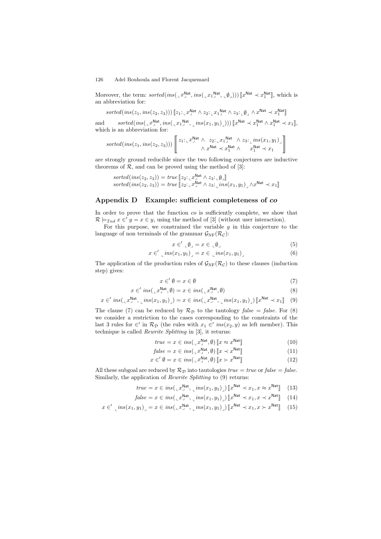Moreover, the term:  $sorted(ins(\llcorner x \,^{\text{Nat}}_{\perp}, ins(\llcorner x \,^{\text{Nat}}_{\perp}, \llcorner \emptyset \,))) \llbracket x^{\text{Nat}} \prec x_1^{\text{Nat}} \rrbracket$ , which is an abbreviation for:

 $sorted(ins(z_1, ins(z_2, z_3))) \llbracket z_1: \llbracket x \rrbracket^{\text{Nat}} \wedge z_2: \llbracket x_1^{\text{Nat}} \wedge z_3: \llbracket \emptyset \rrbracket \wedge x^{\text{Nat}} \prec x_1^{\text{Nat}} \rrbracket$ 

and  $sorted(ins(\llcorner x_j^{\text{Nat}}, ins(\llcorner x_1^{\text{Nat}}, \llcorner ins(x_1, y_1)])) \llbracket x^{\text{Nat}} \prec x_1^{\text{Nat}} \land x_1^{\text{Nat}} \prec x_1 \rrbracket,$ which is an abbreviation for:

$$
\mathit{sorted}(\mathit{ins}(z_1,\mathit{ins}(z_2,z_3))) \left[\begin{matrix}z_1 \mathord{\vdots}_{\mathit{u}} x^{ \mathsf{Nat}}_ \mathit{v} \;\; \wedge \; z_2 \mathord{\vdots}_{\mathit{u}} x^{ \mathsf{Nat}}_1 \;\; \wedge \; z_3 \mathord{\vdots}_{\mathit{u}} \mathit{ins}(x_1,y_1) \; \; \wedge \; \; \wedge \; \; \wedge \; \; \wedge \; \; \wedge \; \; \wedge \; \; \wedge \; \; \wedge \; \; \wedge \; \; \wedge \; \; \wedge \; \; \wedge \; \; \wedge \; \; \wedge \; \; \wedge \; \; \wedge \; \; \wedge \; \; \wedge \; \; \wedge \; \; \wedge \; \; \wedge \; \; \wedge \; \wedge \; \wedge \; \wedge \; \wedge \; \wedge \; \wedge \; \wedge \; \wedge \; \wedge \; \wedge \; \wedge \; \wedge \; \wedge \; \wedge \; \wedge \; \wedge \; \wedge \; \wedge \; \wedge \; \wedge \; \wedge \; \wedge \; \wedge \; \wedge \; \wedge \; \wedge \; \wedge \; \wedge \; \wedge \; \wedge \; \wedge \; \wedge \; \wedge \; \wedge \; \wedge \; \wedge \; \wedge \; \wedge \; \wedge \; \wedge \; \wedge \; \wedge \; \wedge \; \wedge \; \wedge \; \wedge \; \wedge \; \wedge \; \wedge \; \wedge \; \wedge \; \wedge \; \wedge \; \wedge \; \wedge \; \wedge \; \wedge \; \wedge \; \wedge \; \wedge \; \wedge \; \wedge \; \wedge \; \wedge \; \wedge \; \wedge \; \wedge \; \wedge \; \wedge \; \wedge \; \wedge \; \wedge \; \wedge \; \wedge \; \wedge \; \wedge \; \wedge \; \wedge \; \wedge \; \wedge \; \wedge \; \wedge \; \wedge \; \wedge \; \wedge \; \wedge \; \wedge \; \wedge \; \wedge \; \wedge \; \wedge \; \wedge \; \wedge \; \w
$$

are strongly ground reducible since the two following conjectures are inductive theorems of  $\mathcal{R}$ , and can be proved using the method of [3]:

$$
sorted(\text{ins}(z_2, z_3)) = true \llbracket z_2 : \llbracket x_2^{\mathsf{Nat}} \wedge z_3 : \llbracket \emptyset \rrbracket
$$

$$
sorted(\text{ins}(z_2, z_3)) = true \llbracket z_2 : \llbracket x_2^{\mathsf{Nat}} \wedge z_3 : \llbracket \text{ins}(x_1, y_1) \rrbracket \wedge x^{\mathsf{Nat}} \prec x_1 \rrbracket
$$

## Appendix D Example: sufficient completeness of co

In order to prove that the function co is sufficiently complete, we show that  $\mathcal{R} \models_{\mathcal{I}nd} x \in' y = x \in y$ , using the method of [3] (without user interaction).

For this purpose, we constrained the variable  $y$  in this conjecture to the language of non terminals of the grammar  $\mathcal{G}_{\rm NF}(\mathcal{R}_{\mathcal{C}})$ :

$$
x \in' \mathop{\llcorner} \emptyset \lrcorner = x \in \mathop{\llcorner} \emptyset \lrcorner \tag{5}
$$

$$
x \in ' \lim_{n \to \infty} (x_1, y_1)_\perp = x \in \lim_{n \to \infty} (x_1, y_1)_\perp \tag{6}
$$

The application of the production rules of  $\mathcal{G}_{NF}(\mathcal{R}_{\mathcal{C}})$  to these clauses (induction step) gives:

$$
x \in' \emptyset = x \in \emptyset \tag{7}
$$

$$
x \in 'ins(\llcorner x \lrcorner^{Nat}, \emptyset) = x \in ins(\llcorner x \lrcorner^{Nat}, \emptyset)
$$
\n
$$
(8)
$$

$$
x \in 'ins(_{\perp}x_{\perp}^{Nat}, \perp ins(x_1, y_1)_{\perp}) = x \in ins(_{\perp}x_{\perp}^{Nat}, \perp ins(x_1, y_1)_{\perp}) [x^{Nat} \prec x_1] \quad (9)
$$

The clause (7) can be reduced by  $\mathcal{R}_D$  to the tautology false = false. For (8) we consider a restriction to the cases corresponding to the constraints of the last 3 rules for  $\in'$  in  $\mathcal{R}_{\mathcal{D}}$  (the rules with  $x_1 \in' ins(x_2, y)$  as left member). This technique is called Rewrite Splitting in [3], it returns:

$$
true = x \in ins(\llcorner x_j^{\text{Nat}}, \emptyset) \llbracket x \approx x^{\text{Nat}} \rrbracket \tag{10}
$$

$$
false = x \in ins(\, \llcorner x_{\cdot}^{\text{Nat}}, \emptyset) \left[ x \prec x^{\text{Nat}} \right] \tag{11}
$$

$$
x \in' \emptyset = x \in ins(\llcorner x^{\mathsf{Nat}}_{\lrcorner}, \emptyset) \llbracket x \succ x^{\mathsf{Nat}} \rrbracket \tag{12}
$$

All these subgoal are reduced by  $\mathcal{R}_D$  into tautologies true = true or false = false. Similarly, the application of *Rewrite Splitting* to (9) returns:

$$
true = x \in ins(\llcorner x \lrcorner^{Nat}, \llcorner ins(x_1, y_1) \lrcorner) \llbracket x^{Nat} \prec x_1, x \approx x^{Nat} \rrbracket \tag{13}
$$

$$
false = x \in ins(\, \llcorner x^{\text{Nat}}_{\lrcorner}, \, \llcorner ins(x_1, y_1) \, \rrrcorner) \, \llbracket x^{\text{Nat}} \prec x_1, x \prec x^{\text{Nat}} \rrrcorner \, \quad (14)
$$

$$
x \in \left( \min\{x_1, y_1\} \right) = x \in ins\left(\left\lfloor x_1^{\text{Nat}}, \left\lfloor ins(x_1, y_1) \right\rfloor \right) \left[ x^{\text{Nat}} \prec x_1, x \succ x^{\text{Nat}} \right] \tag{15}
$$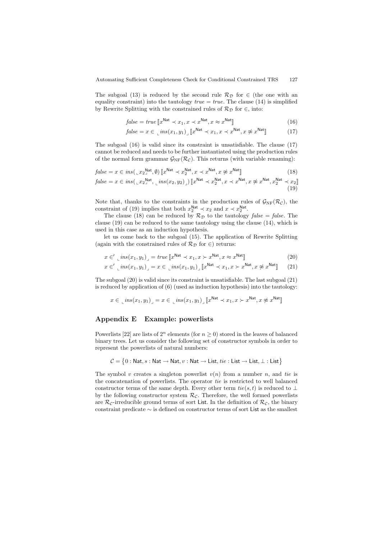The subgoal (13) is reduced by the second rule  $\mathcal{R}_{\mathcal{D}}$  for  $\in$  (the one with an equality constraint) into the tautology  $true = true$ . The clause (14) is simplified by Rewrite Splitting with the constrained rules of  $\mathcal{R}_{\mathcal{D}}$  for ∈, into:

$$
false = true \left[ x^{\text{Nat}} \prec x_1, x \prec x^{\text{Nat}}, x \approx x^{\text{Nat}} \right]
$$
\n
$$
(16)
$$

$$
false = x \in \left[ ins(x_1, y_1) \right] \left[ x^{\text{Nat}} \prec x_1, x \prec x^{\text{Nat}}, x \not\approx x^{\text{Nat}} \right] \tag{17}
$$

The subgoal (16) is valid since its constraint is unsatisfiable. The clause (17) cannot be reduced and needs to be further instantiated using the production rules of the normal form grammar  $\mathcal{G}_{\rm NF}(\mathcal{R}_{\mathcal{C}})$ . This returns (with variable renaming):

$$
false = x \in ins(\, _{\perp}x_{2}^{\text{Nat}}, \emptyset) \left[ x^{\text{Nat}} \prec x_{2}^{\text{Nat}}, x \prec x^{\text{Nat}}, x \not\approx x^{\text{Nat}} \right] \tag{18}
$$

$$
false = x \in ins(\, _{\llcorner} x_{2}^{\mathsf{Nat}}, \, _{\llcorner} ins(x_{2}, y_{2})_{\lrcorner}) \left[ x^{\mathsf{Nat}} \prec x_{2}^{\mathsf{Nat}}, x \prec x^{\mathsf{Nat}}, x \not\approx x^{\mathsf{Nat}}, x_{2}^{\mathsf{Nat}}, x_{2}^{\mathsf{Nat}} \prec x_{2} \right] \tag{19}
$$

Note that, thanks to the constraints in the production rules of  $\mathcal{G}_{\text{NF}}(\mathcal{R}_{\mathcal{C}})$ , the constraint of (19) implies that both  $x_2^{\text{Nat}} \prec x_2$  and  $x \prec x_2^{\text{Nat}}$ .

The clause (18) can be reduced by  $\mathcal{R}_D$  to the tautology *false* = *false*. The clause (19) can be reduced to the same tautology using the clause (14), which is used in this case as an induction hypothesis.

let us come back to the subgoal (15). The application of Rewrite Splitting (again with the constrained rules of  $\mathcal{R}_{\mathcal{D}}$  for  $\in$ ) returns:

$$
x \in \text{L}^{\text{ins}}(x_1, y_1) = \text{true} \left[ x^{\text{Nat}} \prec x_1, x \succ x^{\text{Nat}}, x \approx x^{\text{Nat}} \right] \tag{20}
$$

$$
x \in \left( \max(x_1, y_1) \right) = x \in \left[ \max(x_1, y_1) \right] \left[ x^{\text{Nat}} \prec x_1, x \succ x^{\text{Nat}}, x \not\approx x^{\text{Nat}} \right] \tag{21}
$$

The subgoal (20) is valid since its constraint is unsatisfiable. The last subgoal (21) is reduced by application of (6) (used as induction hypothesis) into the tautology:

$$
x \in \left[ ins(x_1, y_1) \right] = x \in \left[ ins(x_1, y_1) \right] \left[ x^{\text{Nat}} \prec x_1, x \succ x^{\text{Nat}}, x \not\approx x^{\text{Nat}} \right]
$$

## Appendix E Example: powerlists

Powerlists [22] are lists of  $2^n$  elements (for  $n > 0$ ) stored in the leaves of balanced binary trees. Let us consider the following set of constructor symbols in order to represent the powerlists of natural numbers:

$$
\mathcal{C} = \big\{0: \mathsf{Nat}, s: \mathsf{Nat} \to \mathsf{Nat}, v: \mathsf{Nat} \to \mathsf{List}, \mathit{tie} : \mathsf{List} \to \mathsf{List}, \bot : \mathsf{List} \big\}
$$

The symbol v creates a singleton powerlist  $v(n)$  from a number n, and tie is the concatenation of powerlists. The operator tie is restricted to well balanced constructor terms of the same depth. Every other term  $tie(s, t)$  is reduced to ⊥ by the following constructor system  $\mathcal{R}_{\mathcal{C}}$ . Therefore, the well formed powerlists are  $\mathcal{R}_{\mathcal{C}}$ -irreducible ground terms of sort List. In the definition of  $\mathcal{R}_{\mathcal{C}}$ , the binary constraint predicate ∼ is defined on constructor terms of sort List as the smallest